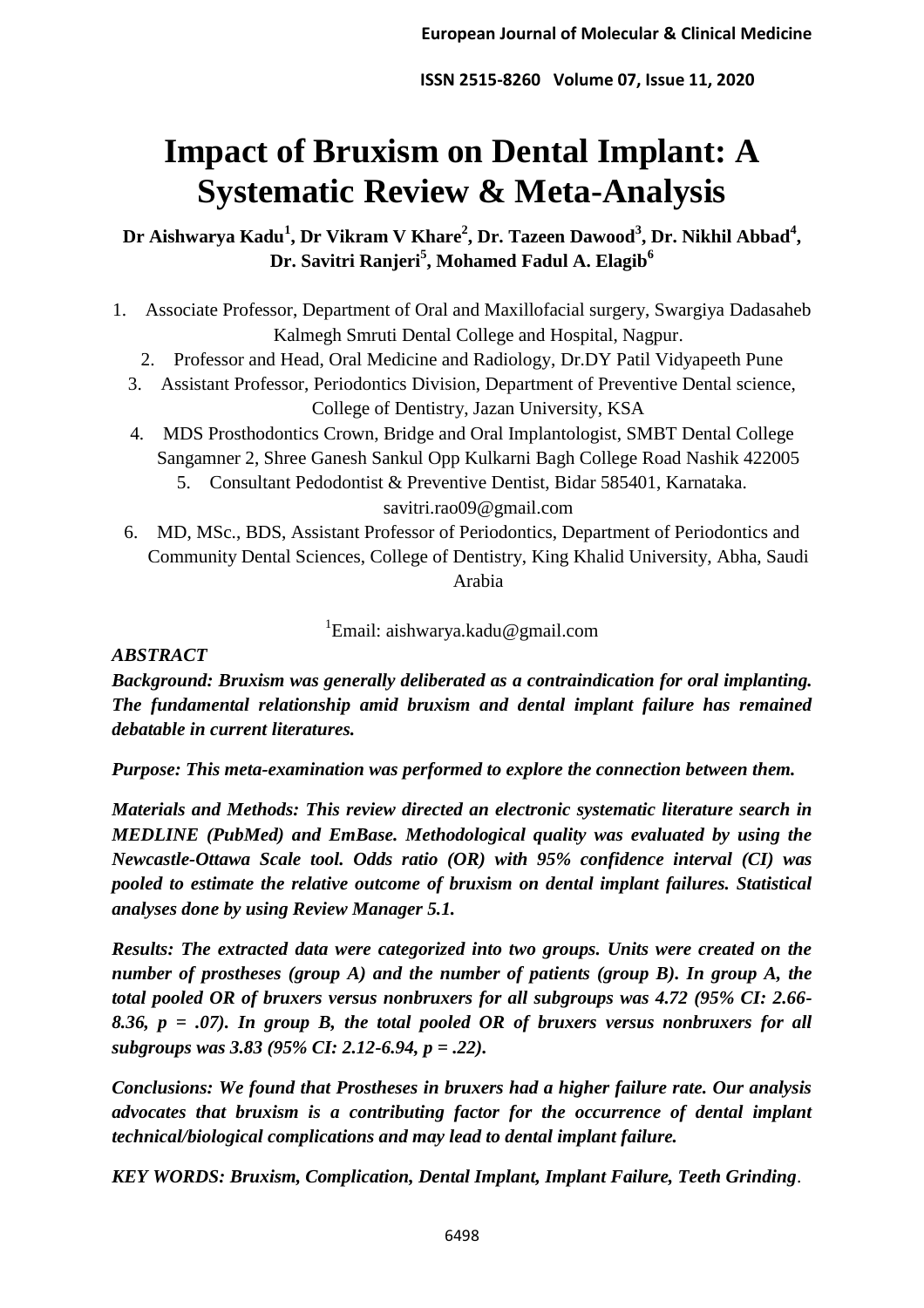# **Impact of Bruxism on Dental Implant: A Systematic Review & Meta-Analysis**

**Dr Aishwarya Kadu<sup>1</sup> , Dr Vikram V Khare<sup>2</sup> , Dr. Tazeen Dawood<sup>3</sup> , Dr. Nikhil Abbad<sup>4</sup> , Dr. Savitri Ranjeri<sup>5</sup> , Mohamed Fadul A. Elagib<sup>6</sup>**

- 1. Associate Professor, Department of Oral and Maxillofacial surgery, Swargiya Dadasaheb Kalmegh Smruti Dental College and Hospital, Nagpur.
	- 2. Professor and Head, Oral Medicine and Radiology, Dr.DY Patil Vidyapeeth Pune
	- 3. Assistant Professor, Periodontics Division, Department of Preventive Dental science, College of Dentistry, Jazan University, KSA
	- 4. MDS Prosthodontics Crown, Bridge and Oral Implantologist, SMBT Dental College Sangamner 2, Shree Ganesh Sankul Opp Kulkarni Bagh College Road Nashik 422005 5. Consultant Pedodontist & Preventive Dentist, Bidar 585401, Karnataka.

savitri.rao09@gmail.com

6. MD, MSc., BDS, Assistant Professor of Periodontics, Department of Periodontics and Community Dental Sciences, College of Dentistry, King Khalid University, Abha, Saudi Arabia

<sup>1</sup>Email: aishwarya.kadu@gmail.com

# *ABSTRACT*

*Background: Bruxism was generally deliberated as a contraindication for oral implanting. The fundamental relationship amid bruxism and dental implant failure has remained debatable in current literatures.*

*Purpose: This meta-examination was performed to explore the connection between them.* 

*Materials and Methods: This review directed an electronic systematic literature search in MEDLINE (PubMed) and EmBase. Methodological quality was evaluated by using the Newcastle-Ottawa Scale tool. Odds ratio (OR) with 95% confidence interval (CI) was pooled to estimate the relative outcome of bruxism on dental implant failures. Statistical analyses done by using Review Manager 5.1.*

*Results: The extracted data were categorized into two groups. Units were created on the number of prostheses (group A) and the number of patients (group B). In group A, the total pooled OR of bruxers versus nonbruxers for all subgroups was 4.72 (95% CI: 2.66- 8.36, p = .07). In group B, the total pooled OR of bruxers versus nonbruxers for all subgroups was 3.83 (95% CI: 2.12-6.94, p = .22).*

*Conclusions: We found that Prostheses in bruxers had a higher failure rate. Our analysis advocates that bruxism is a contributing factor for the occurrence of dental implant technical/biological complications and may lead to dental implant failure.*

*KEY WORDS: Bruxism, Complication, Dental Implant, Implant Failure, Teeth Grinding*.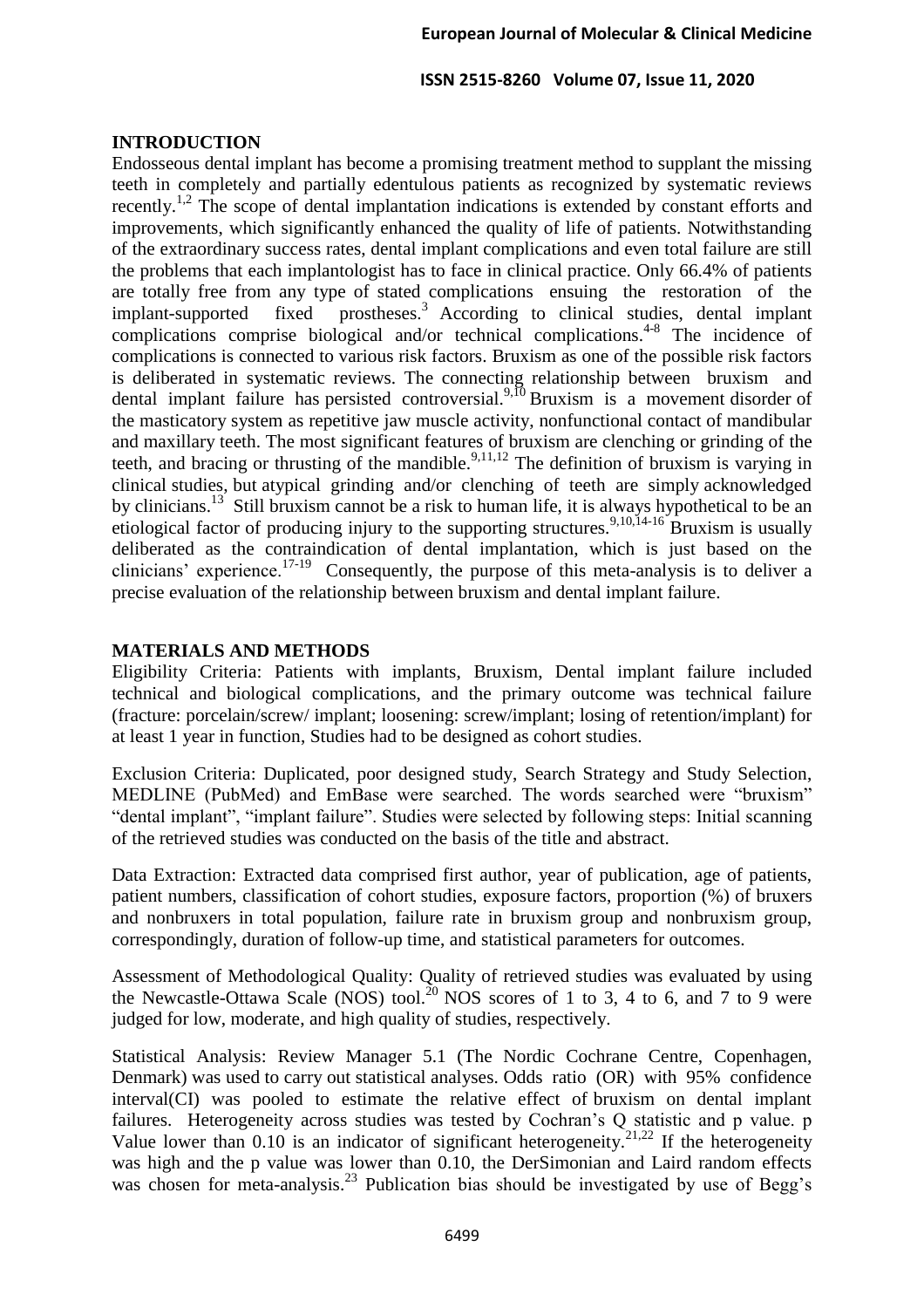## **INTRODUCTION**

Endosseous dental implant has become a promising treatment method to supplant the missing teeth in completely and partially edentulous patients as recognized by systematic reviews recently.<sup>1,2</sup> The scope of dental implantation indications is extended by constant efforts and improvements, which significantly enhanced the quality of life of patients. Notwithstanding of the extraordinary success rates, dental implant complications and even total failure are still the problems that each implantologist has to face in clinical practice. Only 66.4% of patients are totally free from any type of stated complications ensuing the restoration of the implant-supported fixed prostheses.<sup>3</sup> According to clinical studies, dental implant complications comprise biological and/or technical complications.<sup>4-8</sup> The incidence of complications is connected to various risk factors. Bruxism as one of the possible risk factors is deliberated in systematic reviews. The connecting relationship between bruxism and dental implant failure has persisted controversial.<sup>9,10</sup> Bruxism is a movement disorder of the masticatory system as repetitive jaw muscle activity, nonfunctional contact of mandibular and maxillary teeth. The most significant features of bruxism are clenching or grinding of the teeth, and bracing or thrusting of the mandible.<sup>9,11,12</sup> The definition of bruxism is varying in clinical studies, but atypical grinding and/or clenching of teeth are simply acknowledged by clinicians.<sup>13</sup> Still bruxism cannot be a risk to human life, it is always hypothetical to be an etiological factor of producing injury to the supporting structures.<sup>9,10,14-16</sup> Bruxism is usually deliberated as the contraindication of dental implantation, which is just based on the clinicians' experience.<sup>17-19</sup> Consequently, the purpose of this meta-analysis is to deliver a precise evaluation of the relationship between bruxism and dental implant failure.

## **MATERIALS AND METHODS**

Eligibility Criteria: Patients with implants, Bruxism, Dental implant failure included technical and biological complications, and the primary outcome was technical failure (fracture: porcelain/screw/ implant; loosening: screw/implant; losing of retention/implant) for at least 1 year in function, Studies had to be designed as cohort studies.

Exclusion Criteria: Duplicated, poor designed study, Search Strategy and Study Selection, MEDLINE (PubMed) and EmBase were searched. The words searched were "bruxism" "dental implant", "implant failure". Studies were selected by following steps: Initial scanning of the retrieved studies was conducted on the basis of the title and abstract.

Data Extraction: Extracted data comprised first author, year of publication, age of patients, patient numbers, classification of cohort studies, exposure factors, proportion (%) of bruxers and nonbruxers in total population, failure rate in bruxism group and nonbruxism group, correspondingly, duration of follow-up time, and statistical parameters for outcomes.

Assessment of Methodological Quality: Quality of retrieved studies was evaluated by using the Newcastle-Ottawa Scale (NOS) tool.<sup>20</sup> NOS scores of 1 to 3, 4 to 6, and 7 to 9 were judged for low, moderate, and high quality of studies, respectively.

Statistical Analysis: Review Manager 5.1 (The Nordic Cochrane Centre, Copenhagen, Denmark) was used to carry out statistical analyses. Odds ratio (OR) with 95% confidence interval(CI) was pooled to estimate the relative effect of bruxism on dental implant failures. Heterogeneity across studies was tested by Cochran's Q statistic and p value. p Value lower than 0.10 is an indicator of significant heterogeneity.<sup>21,22</sup> If the heterogeneity was high and the p value was lower than 0.10, the DerSimonian and Laird random effects was chosen for meta-analysis.<sup>23</sup> Publication bias should be investigated by use of Begg's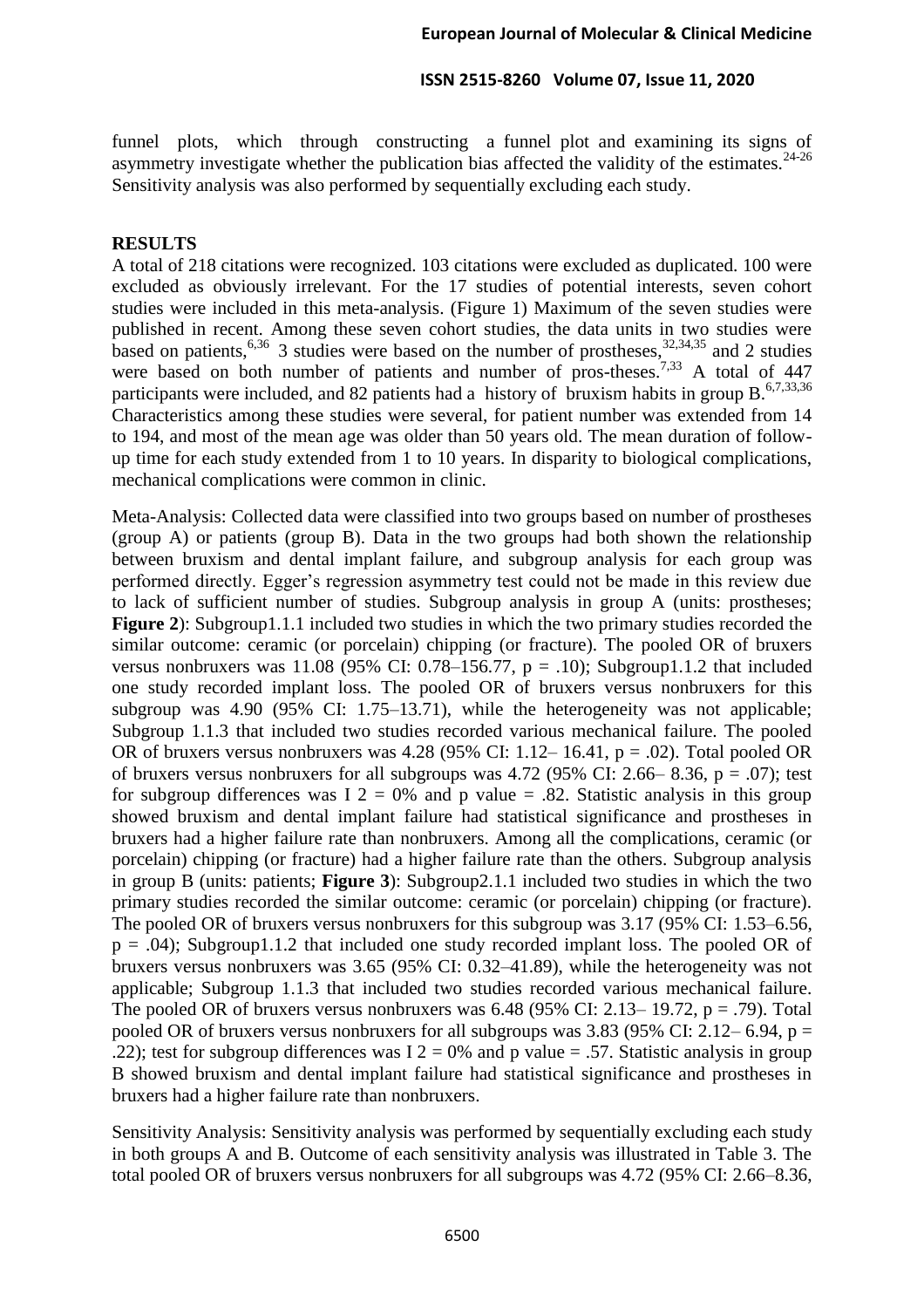funnel plots, which through constructing a funnel plot and examining its signs of asymmetry investigate whether the publication bias affected the validity of the estimates. $24-26$ Sensitivity analysis was also performed by sequentially excluding each study.

## **RESULTS**

A total of 218 citations were recognized. 103 citations were excluded as duplicated. 100 were excluded as obviously irrelevant. For the 17 studies of potential interests, seven cohort studies were included in this meta-analysis. (Figure 1) Maximum of the seven studies were published in recent. Among these seven cohort studies, the data units in two studies were based on patients,<sup>6,36</sup> 3 studies were based on the number of prostheses,  $32,34,35$  and 2 studies were based on both number of patients and number of pros-theses.<sup>7,33</sup> A total of 447 participants were included, and 82 patients had a history of bruxism habits in group B.<sup>6,7,33,36</sup> Characteristics among these studies were several, for patient number was extended from 14 to 194, and most of the mean age was older than 50 years old. The mean duration of followup time for each study extended from 1 to 10 years. In disparity to biological complications, mechanical complications were common in clinic.

Meta-Analysis: Collected data were classified into two groups based on number of prostheses (group A) or patients (group B). Data in the two groups had both shown the relationship between bruxism and dental implant failure, and subgroup analysis for each group was performed directly. Egger's regression asymmetry test could not be made in this review due to lack of sufficient number of studies. Subgroup analysis in group A (units: prostheses; **Figure 2**): Subgroup1.1.1 included two studies in which the two primary studies recorded the similar outcome: ceramic (or porcelain) chipping (or fracture). The pooled OR of bruxers versus nonbruxers was 11.08 (95% CI: 0.78–156.77,  $p = .10$ ); Subgroup1.1.2 that included one study recorded implant loss. The pooled OR of bruxers versus nonbruxers for this subgroup was 4.90 (95% CI: 1.75–13.71), while the heterogeneity was not applicable; Subgroup 1.1.3 that included two studies recorded various mechanical failure. The pooled OR of bruxers versus nonbruxers was 4.28 (95% CI: 1.12– 16.41,  $p = .02$ ). Total pooled OR of bruxers versus nonbruxers for all subgroups was 4.72 (95% CI: 2.66– 8.36,  $p = .07$ ); test for subgroup differences was I  $2 = 0\%$  and p value = .82. Statistic analysis in this group showed bruxism and dental implant failure had statistical significance and prostheses in bruxers had a higher failure rate than nonbruxers. Among all the complications, ceramic (or porcelain) chipping (or fracture) had a higher failure rate than the others. Subgroup analysis in group B (units: patients; **Figure 3**): Subgroup2.1.1 included two studies in which the two primary studies recorded the similar outcome: ceramic (or porcelain) chipping (or fracture). The pooled OR of bruxers versus nonbruxers for this subgroup was 3.17 (95% CI: 1.53–6.56,  $p = .04$ ); Subgroup1.1.2 that included one study recorded implant loss. The pooled OR of bruxers versus nonbruxers was 3.65 (95% CI: 0.32–41.89), while the heterogeneity was not applicable; Subgroup 1.1.3 that included two studies recorded various mechanical failure. The pooled OR of bruxers versus nonbruxers was  $6.48$  (95% CI: 2.13– 19.72, p = .79). Total pooled OR of bruxers versus nonbruxers for all subgroups was  $3.83$  (95% CI: 2.12–6.94, p = .22); test for subgroup differences was  $I$  2 = 0% and p value = .57. Statistic analysis in group B showed bruxism and dental implant failure had statistical significance and prostheses in bruxers had a higher failure rate than nonbruxers.

Sensitivity Analysis: Sensitivity analysis was performed by sequentially excluding each study in both groups A and B. Outcome of each sensitivity analysis was illustrated in Table 3. The total pooled OR of bruxers versus nonbruxers for all subgroups was 4.72 (95% CI: 2.66–8.36,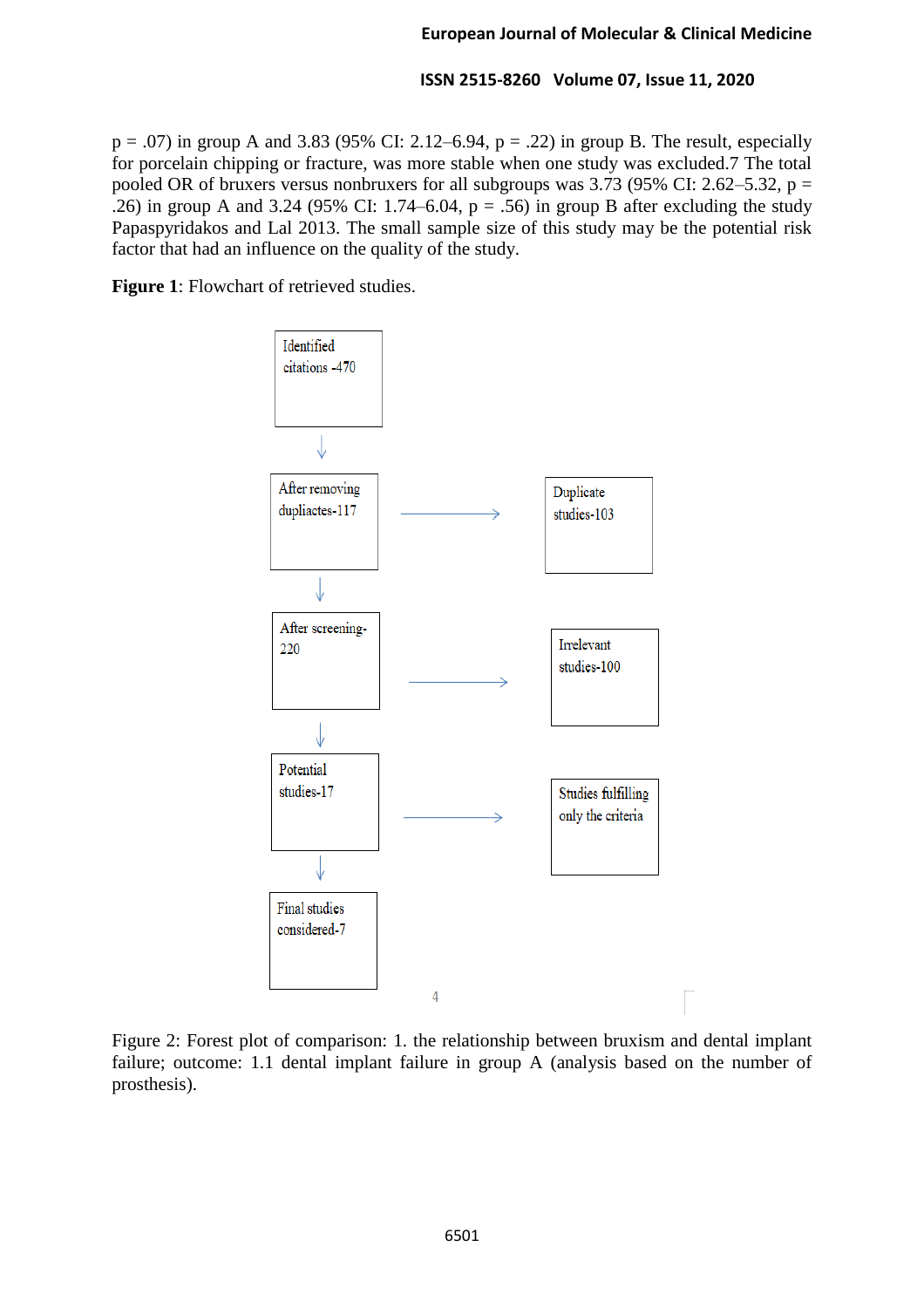$p = .07$ ) in group A and 3.83 (95% CI: 2.12–6.94,  $p = .22$ ) in group B. The result, especially for porcelain chipping or fracture, was more stable when one study was excluded.7 The total pooled OR of bruxers versus nonbruxers for all subgroups was  $3.73$  (95% CI: 2.62–5.32, p = .26) in group A and 3.24 (95% CI: 1.74–6.04,  $p = .56$ ) in group B after excluding the study Papaspyridakos and Lal 2013. The small sample size of this study may be the potential risk factor that had an influence on the quality of the study.

**Figure 1**: Flowchart of retrieved studies.



Figure 2: Forest plot of comparison: 1. the relationship between bruxism and dental implant failure; outcome: 1.1 dental implant failure in group A (analysis based on the number of prosthesis).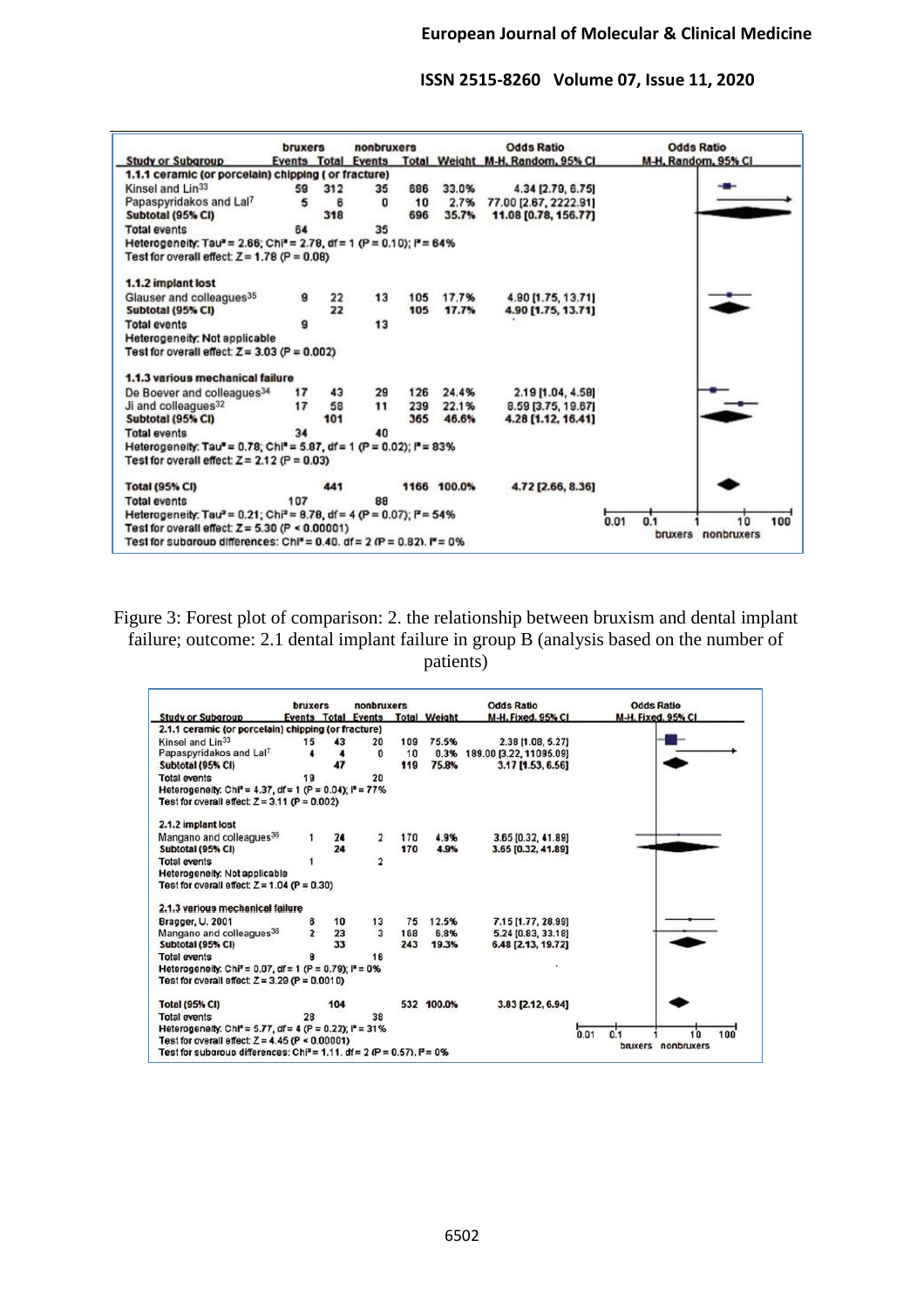|                                                                                                                        | bruxers |     | nonbruxers                 |     |             | <b>Odds Ratio</b>                | <b>Odds Ratio</b>     |     |
|------------------------------------------------------------------------------------------------------------------------|---------|-----|----------------------------|-----|-------------|----------------------------------|-----------------------|-----|
| <b>Study or Subgroup</b>                                                                                               |         |     | <b>Events Total Events</b> |     |             | Total Weight M-H, Random, 95% CI | M-H. Random, 95% CI   |     |
| 1.1.1 ceramic (or porcelain) chipping ( or fracture)                                                                   |         |     |                            |     |             |                                  |                       |     |
| Kinsel and Lin <sup>33</sup>                                                                                           | 59      | 312 | 35                         | 686 | 33.0%       | 4.34 [2.79, 6.75]                |                       |     |
| Papaspyridakos and Lal7                                                                                                | 5       | 6   | o                          | 10  | 2.7%        | 77.00 [2.67, 2222.91]            |                       |     |
| Subtotal (95% CI)                                                                                                      |         | 318 |                            | 696 | 35.7%       | 11.08 [0.78, 156.77]             |                       |     |
| <b>Total events</b>                                                                                                    | 64      |     | 35                         |     |             |                                  |                       |     |
| Heterogeneity: Tau" = 2.66; Chi" = 2.78, df = 1 (P = 0.10); i" = 64%<br>Test for overall effect: $Z = 1.78$ (P = 0.08) |         |     |                            |     |             |                                  |                       |     |
| 1.1.2 implant lost                                                                                                     |         |     |                            |     |             |                                  |                       |     |
| Glauser and colleagues <sup>35</sup>                                                                                   | 9       | 22  | 13                         | 105 | 17.7%       | 4.90 [1.75, 13.71]               |                       |     |
| Subtotal (95% CI)                                                                                                      |         | 22  |                            | 105 | 17.7%       | 4.90 [1.75, 13.71]               |                       |     |
| <b>Total events</b>                                                                                                    |         |     | 13                         |     |             |                                  |                       |     |
| Heterogeneity: Not applicable                                                                                          |         |     |                            |     |             |                                  |                       |     |
| Test for overall effect: $Z = 3.03$ (P = 0.002)                                                                        |         |     |                            |     |             |                                  |                       |     |
| 1.1.3 various mechanical failure                                                                                       |         |     |                            |     |             |                                  |                       |     |
| De Boever and colleagues <sup>34</sup>                                                                                 | 17      | 43  | 29                         | 126 | 24.4%       | 2.19 [1.04, 4.58]                |                       |     |
| Ji and colleagues <sup>32</sup>                                                                                        | 17      | 58  | 11                         | 239 | 22.1%       | 8.59 [3.75, 19.67]               |                       |     |
| Subtotal (95% CI)                                                                                                      |         | 101 |                            | 365 | 46.6%       | 4.28 [1.12, 16.41]               |                       |     |
| <b>Total events</b>                                                                                                    | 34      |     | 40                         |     |             |                                  |                       |     |
| Heterogeneity: Tau" = 0.78; Chi" = 5.87, df = 1 (P = 0.02); i" = 83%                                                   |         |     |                            |     |             |                                  |                       |     |
| Test for overall effect: $Z = 2.12$ (P = 0.03)                                                                         |         |     |                            |     |             |                                  |                       |     |
| <b>Total (95% CI)</b>                                                                                                  |         | 441 |                            |     | 1166 100.0% | 4.72 [2.66, 8.36]                |                       |     |
| <b>Total events</b>                                                                                                    | 107     |     | 88                         |     |             |                                  |                       |     |
| Heterogeneity: Tau <sup>2</sup> = 0.21; Chi <sup>2</sup> = 8.78, df = 4 (P = 0.07); P = 54%                            |         |     |                            |     |             |                                  |                       |     |
| Test for overall effect: $Z = 5.30$ (P < 0.00001)                                                                      |         |     |                            |     |             |                                  | 0.01<br>0.1<br>10     | 100 |
| Test for subgroup differences: Chi* = 0.40, df = 2 (P = 0.82), $F = 0\%$                                               |         |     |                            |     |             |                                  | nonbruxers<br>bruxers |     |

Figure 3: Forest plot of comparison: 2. the relationship between bruxism and dental implant failure; outcome: 2.1 dental implant failure in group B (analysis based on the number of patients)

| <b>Study or Subgroup</b>                                                          | bruxers        |     | nonbruxers                 |     |                     | <b>Odds Ratio</b>       | <b>Odds Ratio</b>        |
|-----------------------------------------------------------------------------------|----------------|-----|----------------------------|-----|---------------------|-------------------------|--------------------------|
|                                                                                   |                |     | <b>Events Total Events</b> |     | <b>Total Weight</b> | M-H. Fixed, 95% CI      | M-H. Fixed, 95% CI       |
| 2.1.1 ceramic (or porcelain) chipping (or fracture)                               |                |     |                            |     |                     |                         |                          |
| Kinsel and Lin <sup>33</sup>                                                      | 15             | 43  | 20                         | 109 | 75.5%               | 2.38 [1.08, 5.27]       |                          |
| Papaspyridakos and Lal7                                                           |                |     | 0                          | 10  | 0.3%                | 189.00 [3.22, 11095.09] |                          |
| Subtotal (95% CI)                                                                 |                |     |                            | 119 | 75.8%               | 3.17 [1.53, 6.56]       |                          |
| <b>Total events</b>                                                               | 19             |     | 20                         |     |                     |                         |                          |
| Heterogeneity: Chi <sup>2</sup> = 4.37, df = 1 (P = 0.04); $P = 77\%$             |                |     |                            |     |                     |                         |                          |
| Test for overall effect: $Z = 3.11$ (P = 0.002)                                   |                |     |                            |     |                     |                         |                          |
| 2.1.2 implant lost                                                                |                |     |                            |     |                     |                         |                          |
| Mangano and colleagues <sup>36</sup>                                              |                | 24  | $\overline{\mathbf{2}}$    | 170 | 4.9%                | 3.65 [0.32, 41.89]      |                          |
| Subtotal (95% CI)                                                                 |                | 24  |                            | 170 | 4.9%                | 3.65 [0.32, 41.89]      |                          |
| <b>Total events</b>                                                               |                |     | $\overline{2}$             |     |                     |                         |                          |
| Heterogeneity: Not applicable                                                     |                |     |                            |     |                     |                         |                          |
| Test for overall effect: $Z = 1.04$ (P = 0.30)                                    |                |     |                            |     |                     |                         |                          |
|                                                                                   |                |     |                            |     |                     |                         |                          |
| 2.1.3 various mechanical failure                                                  |                |     |                            |     |                     |                         |                          |
| Bragger, U. 2001                                                                  | 6              | 10  | 13                         | 75  | 12.5%               | 7.15 [1.77, 28.99]      |                          |
| Mangano and colleagues <sup>36</sup>                                              | $\overline{ }$ | 23  | 3                          | 168 | 6.8%                | 5.24 [0.83, 33.18]      |                          |
| Subtotal (95% CI)                                                                 |                | 33  |                            | 243 | 19.3%               | 6.48 [2.13, 19.72]      |                          |
| <b>Total events</b>                                                               |                |     | 16                         |     |                     |                         |                          |
| Heterogeneity: Chi <sup>2</sup> = 0.07, df = 1 (P = 0.79); $P = 0$ %              |                |     |                            |     |                     |                         |                          |
| Test for overall effect: $Z = 3.29$ (P = 0.0010)                                  |                |     |                            |     |                     |                         |                          |
| <b>Total (95% CI)</b>                                                             |                | 104 |                            |     | 532 100.0%          | 3.83 [2.12, 6.94]       |                          |
| <b>Total events</b>                                                               | 28             |     | 38                         |     |                     |                         |                          |
| Heterogeneity: ChP = 5.77, df = 4 (P = 0.22); P = 31%                             |                |     |                            |     |                     |                         |                          |
| Test for overall effect: $Z = 4.45$ (P $\leq 0.00001$ )                           |                |     |                            |     |                     |                         | 0.01<br>100<br>0.1<br>10 |
| Test for subgroup differences: Chi <sup>2</sup> = 1.11. df = 2 (P = 0.57), P = 0% |                |     |                            |     |                     |                         | nonbruxers<br>bruxers    |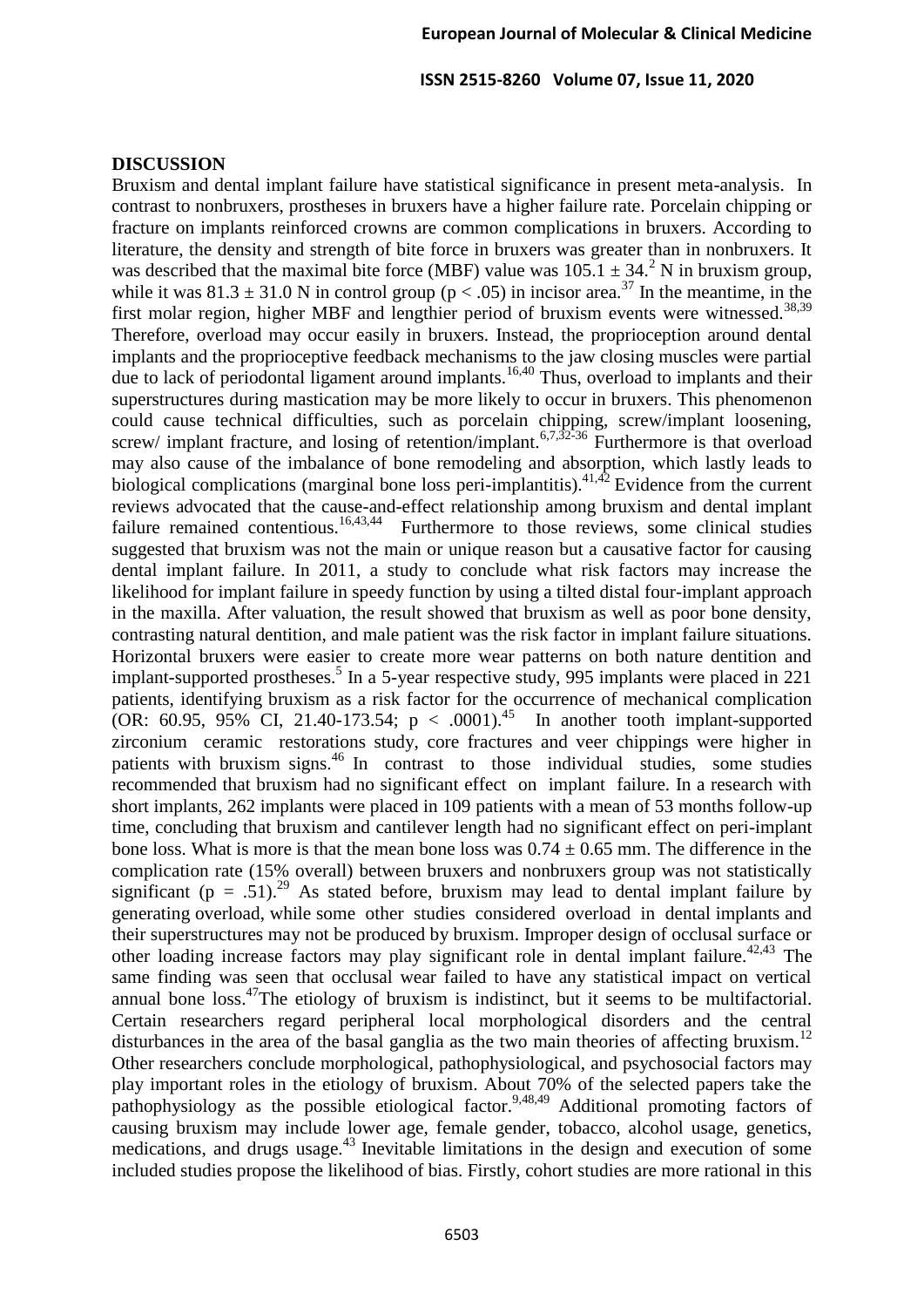#### **DISCUSSION**

Bruxism and dental implant failure have statistical significance in present meta-analysis. In contrast to nonbruxers, prostheses in bruxers have a higher failure rate. Porcelain chipping or fracture on implants reinforced crowns are common complications in bruxers. According to literature, the density and strength of bite force in bruxers was greater than in nonbruxers. It was described that the maximal bite force (MBF) value was  $105.1 \pm 34.2$  N in bruxism group, while it was  $81.3 \pm 31.0$  N in control group ( $p < .05$ ) in incisor area.<sup>37</sup> In the meantime, in the first molar region, higher MBF and lengthier period of bruxism events were witnessed.<sup>38,39</sup> Therefore, overload may occur easily in bruxers. Instead, the proprioception around dental implants and the proprioceptive feedback mechanisms to the jaw closing muscles were partial due to lack of periodontal ligament around implants.<sup>16,40</sup> Thus, overload to implants and their superstructures during mastication may be more likely to occur in bruxers. This phenomenon could cause technical difficulties, such as porcelain chipping, screw/implant loosening, screw/ implant fracture, and losing of retention/implant.<sup>6,7,32-36</sup> Furthermore is that overload may also cause of the imbalance of bone remodeling and absorption, which lastly leads to biological complications (marginal bone loss peri-implantitis).<sup>41,42</sup> Evidence from the current reviews advocated that the cause-and-effect relationship among bruxism and dental implant failure remained contentious.<sup>16,43,44</sup> Furthermore to those reviews, some clinical studies suggested that bruxism was not the main or unique reason but a causative factor for causing dental implant failure. In 2011, a study to conclude what risk factors may increase the likelihood for implant failure in speedy function by using a tilted distal four-implant approach in the maxilla. After valuation, the result showed that bruxism as well as poor bone density, contrasting natural dentition, and male patient was the risk factor in implant failure situations. Horizontal bruxers were easier to create more wear patterns on both nature dentition and implant-supported prostheses.<sup>5</sup> In a 5-year respective study, 995 implants were placed in 221 patients, identifying bruxism as a risk factor for the occurrence of mechanical complication (OR: 60.95, 95% CI, 21.40-173.54;  $p < .0001$ ).<sup>45</sup> In another tooth implant-supported zirconium ceramic restorations study, core fractures and veer chippings were higher in patients with bruxism signs.<sup>46</sup> In contrast to those individual studies, some studies recommended that bruxism had no significant effect on implant failure. In a research with short implants, 262 implants were placed in 109 patients with a mean of 53 months follow-up time, concluding that bruxism and cantilever length had no significant effect on peri-implant bone loss. What is more is that the mean bone loss was  $0.74 \pm 0.65$  mm. The difference in the complication rate (15% overall) between bruxers and nonbruxers group was not statistically significant (p = .51).<sup>29</sup> As stated before, bruxism may lead to dental implant failure by generating overload, while some other studies considered overload in dental implants and their superstructures may not be produced by bruxism. Improper design of occlusal surface or other loading increase factors may play significant role in dental implant failure.<sup> $42,43$ </sup> The same finding was seen that occlusal wear failed to have any statistical impact on vertical annual bone  $loss^{47}$ The etiology of bruxism is indistinct, but it seems to be multifactorial. Certain researchers regard peripheral local morphological disorders and the central disturbances in the area of the basal ganglia as the two main theories of affecting bruxism.<sup>12</sup> Other researchers conclude morphological, pathophysiological, and psychosocial factors may play important roles in the etiology of bruxism. About 70% of the selected papers take the pathophysiology as the possible etiological factor.<sup>9,48,49</sup> Additional promoting factors of causing bruxism may include lower age, female gender, tobacco, alcohol usage, genetics, medications, and drugs usage.<sup>43</sup> Inevitable limitations in the design and execution of some included studies propose the likelihood of bias. Firstly, cohort studies are more rational in this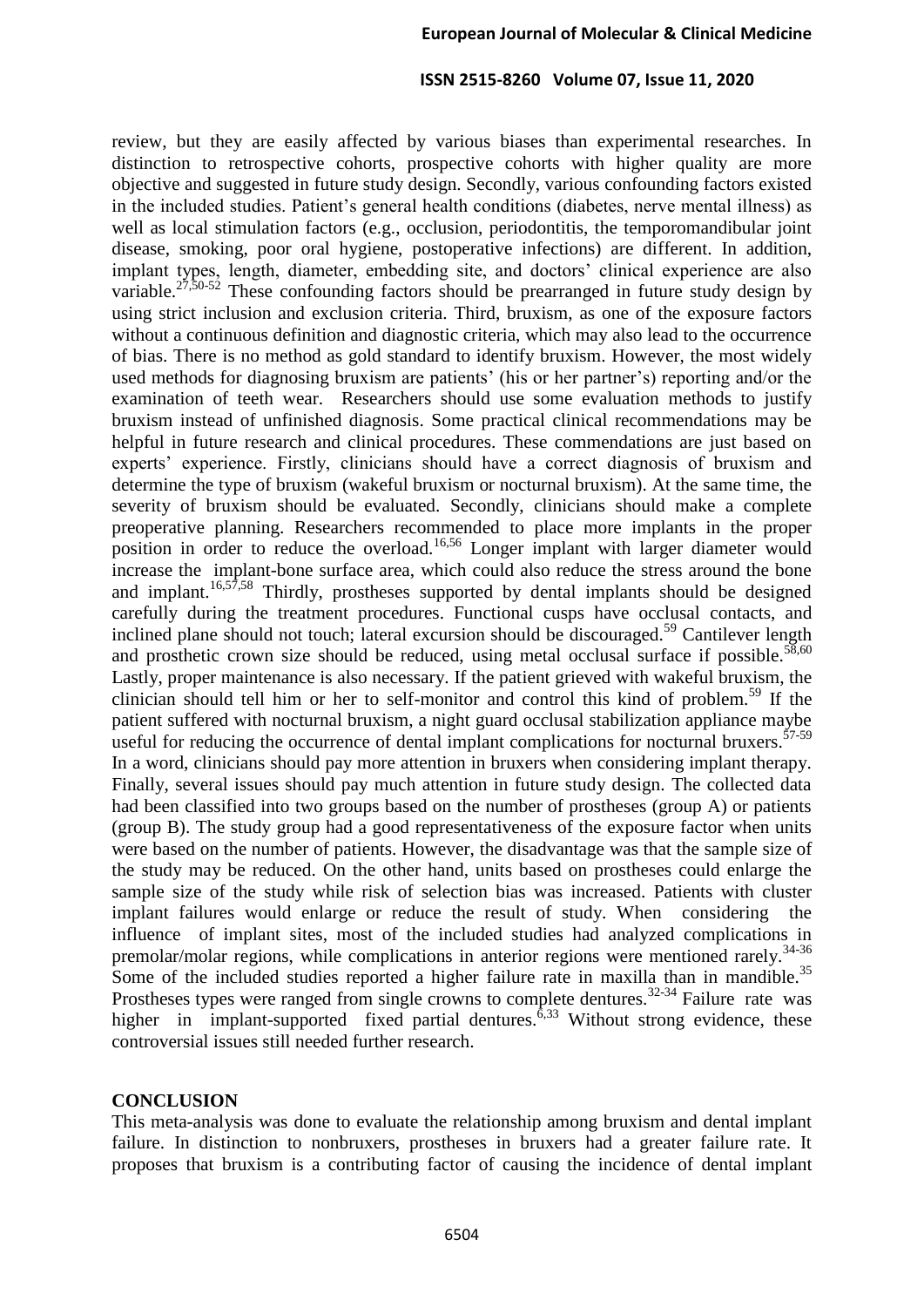review, but they are easily affected by various biases than experimental researches. In distinction to retrospective cohorts, prospective cohorts with higher quality are more objective and suggested in future study design. Secondly, various confounding factors existed in the included studies. Patient's general health conditions (diabetes, nerve mental illness) as well as local stimulation factors (e.g., occlusion, periodontitis, the temporomandibular joint disease, smoking, poor oral hygiene, postoperative infections) are different. In addition, implant types, length, diameter, embedding site, and doctors' clinical experience are also variable.<sup>27,50-52</sup> These confounding factors should be prearranged in future study design by using strict inclusion and exclusion criteria. Third, bruxism, as one of the exposure factors without a continuous definition and diagnostic criteria, which may also lead to the occurrence of bias. There is no method as gold standard to identify bruxism. However, the most widely used methods for diagnosing bruxism are patients' (his or her partner's) reporting and/or the examination of teeth wear. Researchers should use some evaluation methods to justify bruxism instead of unfinished diagnosis. Some practical clinical recommendations may be helpful in future research and clinical procedures. These commendations are just based on experts' experience. Firstly, clinicians should have a correct diagnosis of bruxism and determine the type of bruxism (wakeful bruxism or nocturnal bruxism). At the same time, the severity of bruxism should be evaluated. Secondly, clinicians should make a complete preoperative planning. Researchers recommended to place more implants in the proper position in order to reduce the overload.<sup>16,56</sup> Longer implant with larger diameter would increase the implant-bone surface area, which could also reduce the stress around the bone and implant.<sup>16,57,58</sup> Thirdly, prostheses supported by dental implants should be designed carefully during the treatment procedures. Functional cusps have occlusal contacts, and inclined plane should not touch; lateral excursion should be discouraged.<sup>59</sup> Cantilever length and prosthetic crown size should be reduced, using metal occlusal surface if possible. $58,60$ Lastly, proper maintenance is also necessary. If the patient grieved with wakeful bruxism, the clinician should tell him or her to self-monitor and control this kind of problem.<sup>59</sup> If the patient suffered with nocturnal bruxism, a night guard occlusal stabilization appliance maybe useful for reducing the occurrence of dental implant complications for nocturnal bruxers.<sup>57-59</sup> In a word, clinicians should pay more attention in bruxers when considering implant therapy. Finally, several issues should pay much attention in future study design. The collected data had been classified into two groups based on the number of prostheses (group A) or patients (group B). The study group had a good representativeness of the exposure factor when units were based on the number of patients. However, the disadvantage was that the sample size of the study may be reduced. On the other hand, units based on prostheses could enlarge the sample size of the study while risk of selection bias was increased. Patients with cluster implant failures would enlarge or reduce the result of study. When considering the influence of implant sites, most of the included studies had analyzed complications in premolar/molar regions, while complications in anterior regions were mentioned rarely.<sup>34-36</sup> Some of the included studies reported a higher failure rate in maxilla than in mandible.<sup>35</sup> Prostheses types were ranged from single crowns to complete dentures.<sup>32-34</sup> Failure rate was higher in implant-supported fixed partial dentures.  $6,33$  Without strong evidence, these controversial issues still needed further research.

## **CONCLUSION**

This meta-analysis was done to evaluate the relationship among bruxism and dental implant failure. In distinction to nonbruxers, prostheses in bruxers had a greater failure rate. It proposes that bruxism is a contributing factor of causing the incidence of dental implant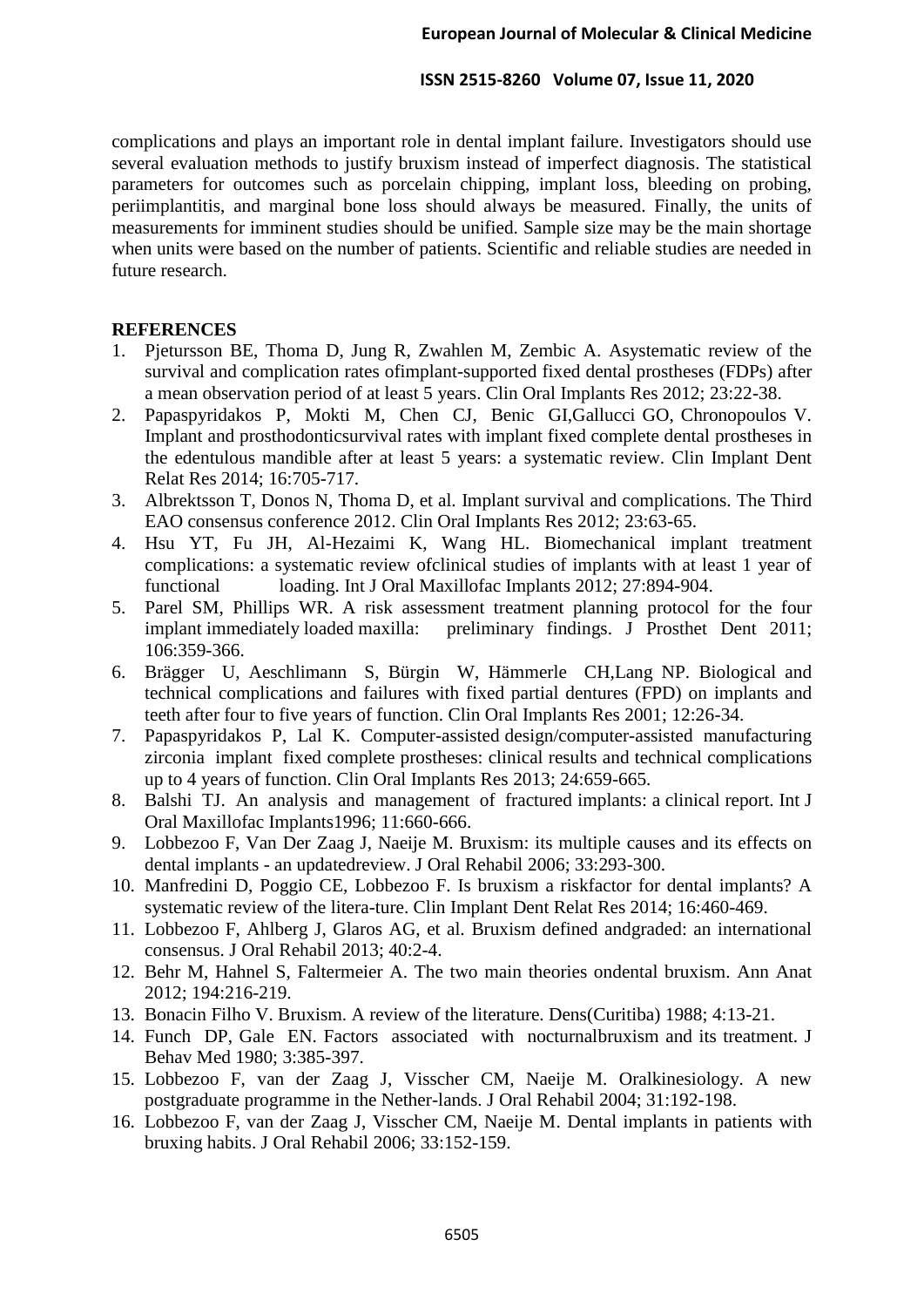complications and plays an important role in dental implant failure. Investigators should use several evaluation methods to justify bruxism instead of imperfect diagnosis. The statistical parameters for outcomes such as porcelain chipping, implant loss, bleeding on probing, periimplantitis, and marginal bone loss should always be measured. Finally, the units of measurements for imminent studies should be unified. Sample size may be the main shortage when units were based on the number of patients. Scientific and reliable studies are needed in future research.

## **REFERENCES**

- 1. Pjetursson BE, Thoma D, Jung R, Zwahlen M, Zembic A. Asystematic review of the survival and complication rates ofimplant-supported fixed dental prostheses (FDPs) after a mean observation period of at least 5 years. Clin Oral Implants Res 2012; 23:22-38.
- 2. Papaspyridakos P, Mokti M, Chen CJ, Benic GI,Gallucci GO, Chronopoulos V. Implant and prosthodonticsurvival rates with implant fixed complete dental prostheses in the edentulous mandible after at least 5 years: a systematic review. Clin Implant Dent Relat Res 2014; 16:705-717.
- 3. Albrektsson T, Donos N, Thoma D, et al. Implant survival and complications. The Third EAO consensus conference 2012. Clin Oral Implants Res 2012; 23:63-65.
- 4. Hsu YT, Fu JH, Al-Hezaimi K, Wang HL. Biomechanical implant treatment complications: a systematic review ofclinical studies of implants with at least 1 year of functional loading. Int J Oral Maxillofac Implants 2012; 27:894-904.
- 5. Parel SM, Phillips WR. A risk assessment treatment planning protocol for the four implant immediately loaded maxilla: preliminary findings. J Prosthet Dent 2011; 106:359-366.
- 6. Brägger U, Aeschlimann S, Bürgin W, Hämmerle CH,Lang NP. Biological and technical complications and failures with fixed partial dentures (FPD) on implants and teeth after four to five years of function. Clin Oral Implants Res 2001; 12:26-34.
- 7. Papaspyridakos P, Lal K. Computer-assisted design/computer-assisted manufacturing zirconia implant fixed complete prostheses: clinical results and technical complications up to 4 years of function. Clin Oral Implants Res 2013; 24:659-665.
- 8. Balshi TJ. An analysis and management of fractured implants: a clinical report. Int J Oral Maxillofac Implants1996; 11:660-666.
- 9. Lobbezoo F, Van Der Zaag J, Naeije M. Bruxism: its multiple causes and its effects on dental implants - an updatedreview. J Oral Rehabil 2006; 33:293-300.
- 10. Manfredini D, Poggio CE, Lobbezoo F. Is bruxism a riskfactor for dental implants? A systematic review of the litera-ture. Clin Implant Dent Relat Res 2014; 16:460-469.
- 11. Lobbezoo F, Ahlberg J, Glaros AG, et al. Bruxism defined andgraded: an international consensus. J Oral Rehabil 2013; 40:2-4.
- 12. Behr M, Hahnel S, Faltermeier A. The two main theories ondental bruxism. Ann Anat 2012; 194:216-219.
- 13. Bonacin Filho V. Bruxism. A review of the literature. Dens(Curitiba) 1988; 4:13-21.
- 14. Funch DP, Gale EN. Factors associated with nocturnalbruxism and its treatment. J Behav Med 1980; 3:385-397.
- 15. Lobbezoo F, van der Zaag J, Visscher CM, Naeije M. Oralkinesiology. A new postgraduate programme in the Nether-lands. J Oral Rehabil 2004; 31:192-198.
- 16. Lobbezoo F, van der Zaag J, Visscher CM, Naeije M. Dental implants in patients with bruxing habits. J Oral Rehabil 2006; 33:152-159.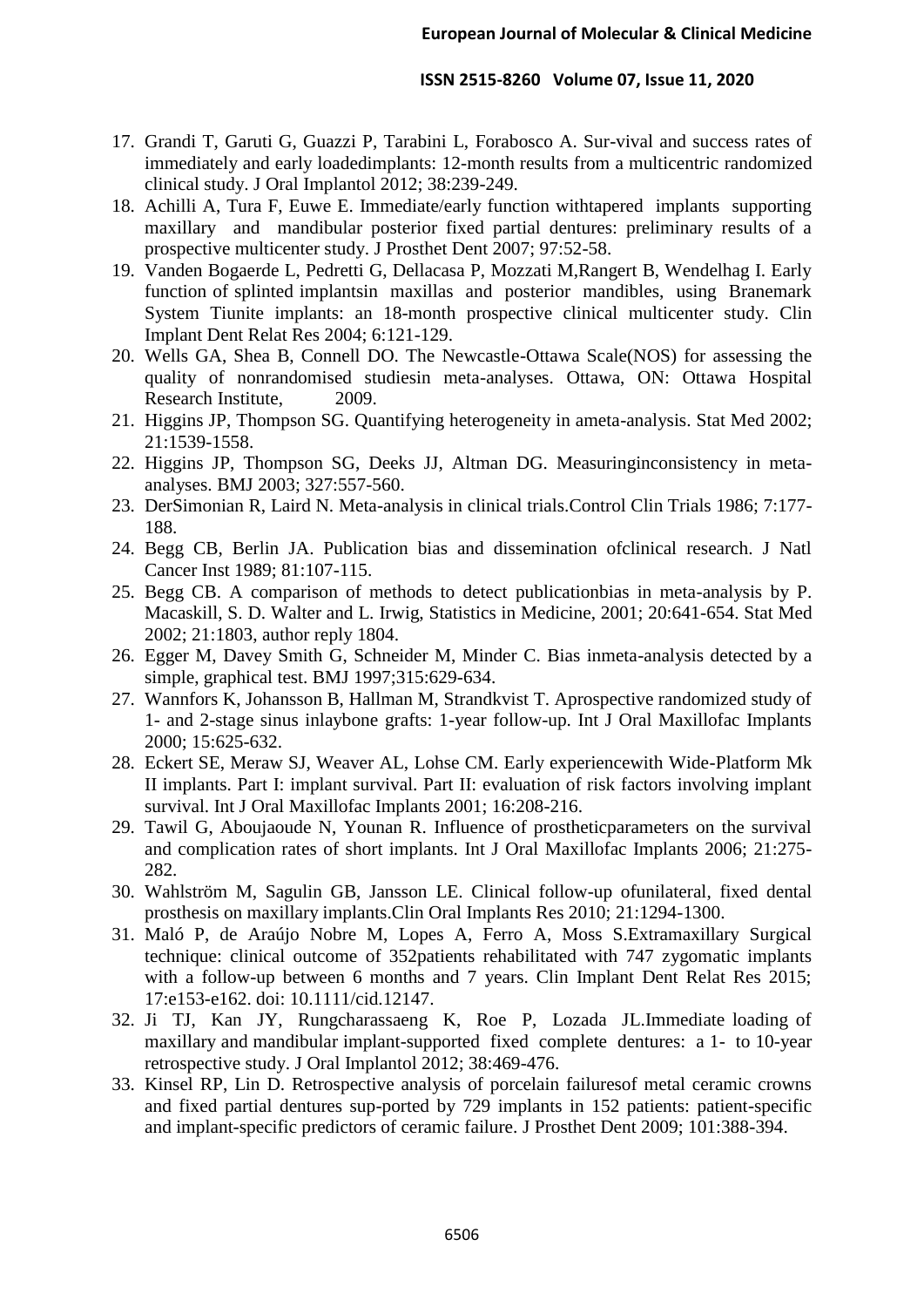- 17. Grandi T, Garuti G, Guazzi P, Tarabini L, Forabosco A. Sur-vival and success rates of immediately and early loadedimplants: 12-month results from a multicentric randomized clinical study. J Oral Implantol 2012; 38:239-249.
- 18. Achilli A, Tura F, Euwe E. Immediate/early function withtapered implants supporting maxillary and mandibular posterior fixed partial dentures: preliminary results of a prospective multicenter study. J Prosthet Dent 2007; 97:52-58.
- 19. Vanden Bogaerde L, Pedretti G, Dellacasa P, Mozzati M,Rangert B, Wendelhag I. Early function of splinted implantsin maxillas and posterior mandibles, using Branemark System Tiunite implants: an 18-month prospective clinical multicenter study. Clin Implant Dent Relat Res 2004; 6:121-129.
- 20. Wells GA, Shea B, Connell DO. The Newcastle-Ottawa Scale(NOS) for assessing the quality of nonrandomised studiesin meta-analyses. Ottawa, ON: Ottawa Hospital Research Institute, 2009.
- 21. Higgins JP, Thompson SG. Quantifying heterogeneity in ameta-analysis. Stat Med 2002; 21:1539-1558.
- 22. Higgins JP, Thompson SG, Deeks JJ, Altman DG. Measuringinconsistency in metaanalyses. BMJ 2003; 327:557-560.
- 23. DerSimonian R, Laird N. Meta-analysis in clinical trials.Control Clin Trials 1986; 7:177- 188.
- 24. Begg CB, Berlin JA. Publication bias and dissemination ofclinical research. J Natl Cancer Inst 1989; 81:107-115.
- 25. Begg CB. A comparison of methods to detect publicationbias in meta-analysis by P. Macaskill, S. D. Walter and L. Irwig, Statistics in Medicine, 2001; 20:641-654. Stat Med 2002; 21:1803, author reply 1804.
- 26. Egger M, Davey Smith G, Schneider M, Minder C. Bias inmeta-analysis detected by a simple, graphical test. BMJ 1997;315:629-634.
- 27. Wannfors K, Johansson B, Hallman M, Strandkvist T. Aprospective randomized study of 1- and 2-stage sinus inlaybone grafts: 1-year follow-up. Int J Oral Maxillofac Implants 2000; 15:625-632.
- 28. Eckert SE, Meraw SJ, Weaver AL, Lohse CM. Early experiencewith Wide-Platform Mk II implants. Part I: implant survival. Part II: evaluation of risk factors involving implant survival. Int J Oral Maxillofac Implants 2001; 16:208-216.
- 29. Tawil G, Aboujaoude N, Younan R. Influence of prostheticparameters on the survival and complication rates of short implants. Int J Oral Maxillofac Implants 2006; 21:275- 282.
- 30. Wahlström M, Sagulin GB, Jansson LE. Clinical follow-up ofunilateral, fixed dental prosthesis on maxillary implants.Clin Oral Implants Res 2010; 21:1294-1300.
- 31. Maló P, de Araújo Nobre M, Lopes A, Ferro A, Moss S.Extramaxillary Surgical technique: clinical outcome of 352patients rehabilitated with 747 zygomatic implants with a follow-up between 6 months and 7 years. Clin Implant Dent Relat Res 2015; 17:e153-e162. doi: 10.1111/cid.12147.
- 32. Ji TJ, Kan JY, Rungcharassaeng K, Roe P, Lozada JL.Immediate loading of maxillary and mandibular implant-supported fixed complete dentures: a 1- to 10-year retrospective study. J Oral Implantol 2012; 38:469-476.
- 33. Kinsel RP, Lin D. Retrospective analysis of porcelain failuresof metal ceramic crowns and fixed partial dentures sup-ported by 729 implants in 152 patients: patient-specific and implant-specific predictors of ceramic failure. J Prosthet Dent 2009; 101:388-394.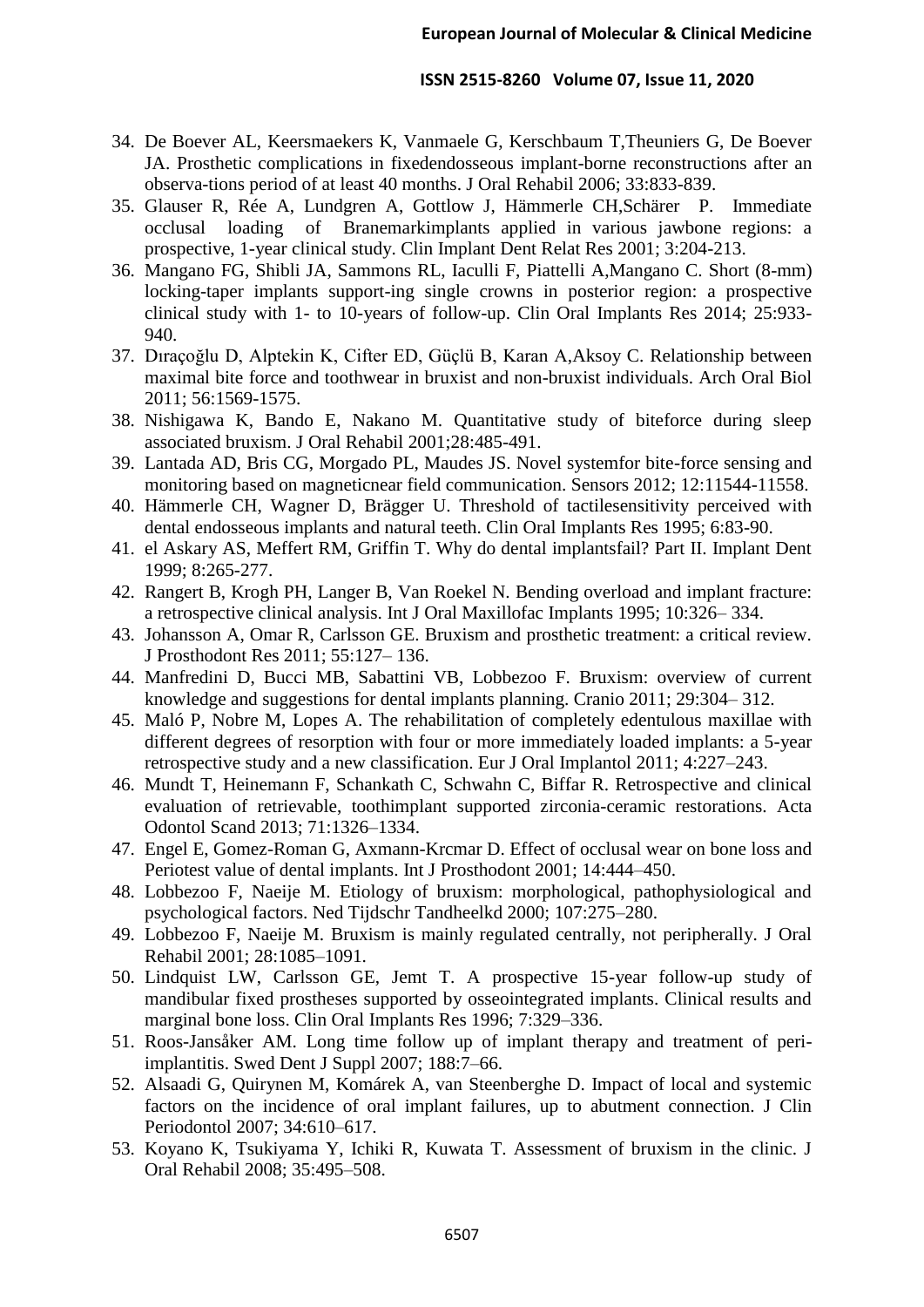- 34. De Boever AL, Keersmaekers K, Vanmaele G, Kerschbaum T,Theuniers G, De Boever JA. Prosthetic complications in fixedendosseous implant-borne reconstructions after an observa-tions period of at least 40 months. J Oral Rehabil 2006; 33:833-839.
- 35. Glauser R, Rée A, Lundgren A, Gottlow J, Hämmerle CH,Schärer P. Immediate occlusal loading of Branemarkimplants applied in various jawbone regions: a prospective, 1-year clinical study. Clin Implant Dent Relat Res 2001; 3:204-213.
- 36. Mangano FG, Shibli JA, Sammons RL, Iaculli F, Piattelli A,Mangano C. Short (8-mm) locking-taper implants support-ing single crowns in posterior region: a prospective clinical study with 1- to 10-years of follow-up. Clin Oral Implants Res 2014; 25:933- 940.
- 37. Dıraçoğlu D, Alptekin K, Cifter ED, Güçlü B, Karan A,Aksoy C. Relationship between maximal bite force and toothwear in bruxist and non-bruxist individuals. Arch Oral Biol 2011; 56:1569-1575.
- 38. Nishigawa K, Bando E, Nakano M. Quantitative study of biteforce during sleep associated bruxism. J Oral Rehabil 2001;28:485-491.
- 39. Lantada AD, Bris CG, Morgado PL, Maudes JS. Novel systemfor bite-force sensing and monitoring based on magneticnear field communication. Sensors 2012; 12:11544-11558.
- 40. Hämmerle CH, Wagner D, Brägger U. Threshold of tactilesensitivity perceived with dental endosseous implants and natural teeth. Clin Oral Implants Res 1995; 6:83-90.
- 41. el Askary AS, Meffert RM, Griffin T. Why do dental implantsfail? Part II. Implant Dent 1999; 8:265-277.
- 42. Rangert B, Krogh PH, Langer B, Van Roekel N. Bending overload and implant fracture: a retrospective clinical analysis. Int J Oral Maxillofac Implants 1995; 10:326– 334.
- 43. Johansson A, Omar R, Carlsson GE. Bruxism and prosthetic treatment: a critical review. J Prosthodont Res 2011; 55:127– 136.
- 44. Manfredini D, Bucci MB, Sabattini VB, Lobbezoo F. Bruxism: overview of current knowledge and suggestions for dental implants planning. Cranio 2011; 29:304– 312.
- 45. Maló P, Nobre M, Lopes A. The rehabilitation of completely edentulous maxillae with different degrees of resorption with four or more immediately loaded implants: a 5-year retrospective study and a new classification. Eur J Oral Implantol 2011; 4:227–243.
- 46. Mundt T, Heinemann F, Schankath C, Schwahn C, Biffar R. Retrospective and clinical evaluation of retrievable, toothimplant supported zirconia-ceramic restorations. Acta Odontol Scand 2013; 71:1326–1334.
- 47. Engel E, Gomez-Roman G, Axmann-Krcmar D. Effect of occlusal wear on bone loss and Periotest value of dental implants. Int J Prosthodont 2001; 14:444–450.
- 48. Lobbezoo F, Naeije M. Etiology of bruxism: morphological, pathophysiological and psychological factors. Ned Tijdschr Tandheelkd 2000; 107:275–280.
- 49. Lobbezoo F, Naeije M. Bruxism is mainly regulated centrally, not peripherally. J Oral Rehabil 2001; 28:1085–1091.
- 50. Lindquist LW, Carlsson GE, Jemt T. A prospective 15-year follow-up study of mandibular fixed prostheses supported by osseointegrated implants. Clinical results and marginal bone loss. Clin Oral Implants Res 1996; 7:329–336.
- 51. Roos-Jansåker AM. Long time follow up of implant therapy and treatment of periimplantitis. Swed Dent J Suppl 2007; 188:7–66.
- 52. Alsaadi G, Quirynen M, Komárek A, van Steenberghe D. Impact of local and systemic factors on the incidence of oral implant failures, up to abutment connection. J Clin Periodontol 2007; 34:610–617.
- 53. Koyano K, Tsukiyama Y, Ichiki R, Kuwata T. Assessment of bruxism in the clinic. J Oral Rehabil 2008; 35:495–508.